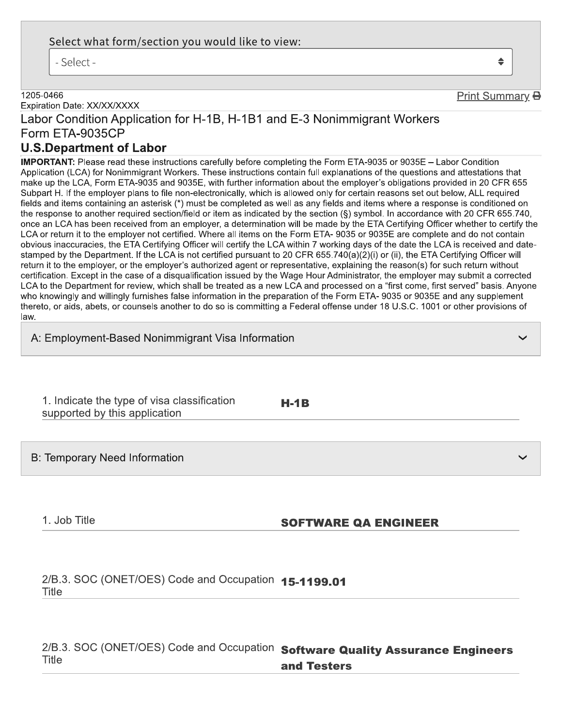## Select what form/section you would like to view:

- Select -

#### 1205-0466

Expiration Date: XX/XX/XXXX

# Labor Condition Application for H-1B, H-1B1 and E-3 Nonimmigrant Workers Form ETA-9035CP

# **U.S.Department of Labor**

**IMPORTANT:** Please read these instructions carefully before completing the Form ETA-9035 or 9035E - Labor Condition Application (LCA) for Nonimmigrant Workers. These instructions contain full explanations of the questions and attestations that make up the LCA, Form ETA-9035 and 9035E, with further information about the employer's obligations provided in 20 CFR 655 Subpart H. If the employer plans to file non-electronically, which is allowed only for certain reasons set out below, ALL required fields and items containing an asterisk (\*) must be completed as well as any fields and items where a response is conditioned on the response to another required section/field or item as indicated by the section (§) symbol. In accordance with 20 CFR 655.740, once an LCA has been received from an employer, a determination will be made by the ETA Certifying Officer whether to certify the LCA or return it to the employer not certified. Where all items on the Form ETA-9035 or 9035E are complete and do not contain obvious inaccuracies, the ETA Certifying Officer will certify the LCA within 7 working days of the date the LCA is received and datestamped by the Department. If the LCA is not certified pursuant to 20 CFR 655.740(a)(2)(i) or (ii), the ETA Certifying Officer will return it to the employer, or the employer's authorized agent or representative, explaining the reason(s) for such return without certification. Except in the case of a disqualification issued by the Wage Hour Administrator, the employer may submit a corrected LCA to the Department for review, which shall be treated as a new LCA and processed on a "first come, first served" basis, Anvone who knowingly and willingly furnishes false information in the preparation of the Form ETA-9035 or 9035E and any supplement thereto, or aids, abets, or counsels another to do so is committing a Federal offense under 18 U.S.C. 1001 or other provisions of law.

A: Employment-Based Nonimmigrant Visa Information

| 1. Indicate the type of visa classification |  |
|---------------------------------------------|--|
| supported by this application               |  |

 $H-1B$ 

**B: Temporary Need Information** 

1. Job Title

### **SOFTWARE QA ENGINEER**

2/B.3. SOC (ONET/OES) Code and Occupation 15-1199.01 **Title** 

2/B.3. SOC (ONET/OES) Code and Occupation Software Quality Assurance Engineers **Title** and Testers

Print Summary **B** 

 $\triangleq$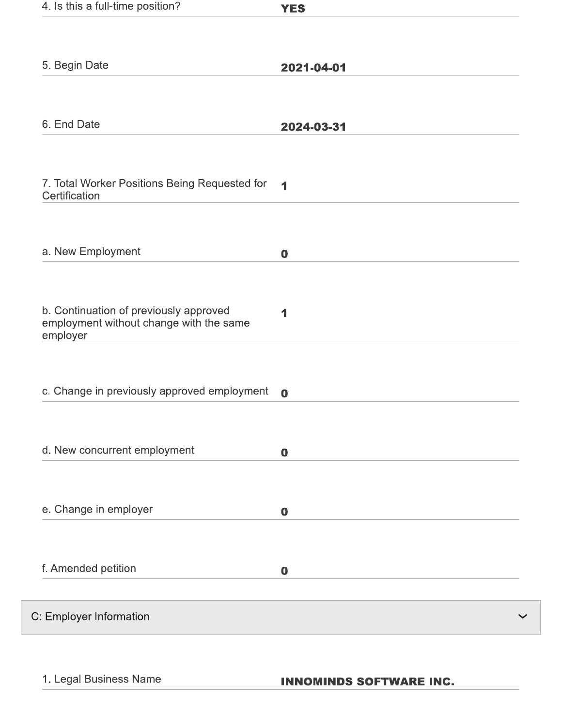| 4. Is this a full-time position?                                                              | <b>YES</b>           |
|-----------------------------------------------------------------------------------------------|----------------------|
|                                                                                               |                      |
| 5. Begin Date                                                                                 | 2021-04-01           |
|                                                                                               |                      |
| 6. End Date                                                                                   | 2024-03-31           |
| 7. Total Worker Positions Being Requested for<br>Certification                                | $\blacktriangleleft$ |
| a. New Employment                                                                             | $\bf{0}$             |
| b. Continuation of previously approved<br>employment without change with the same<br>employer | 1                    |
| c. Change in previously approved employment                                                   | $\mathbf 0$          |
| d. New concurrent employment                                                                  | $\boldsymbol{0}$     |
| e. Change in employer                                                                         | $\bf{0}$             |
| f. Amended petition                                                                           | $\bf{0}$             |
| C: Employer Information                                                                       |                      |

1. Legal Business Name

**INNOMINDS SOFTWARE INC.**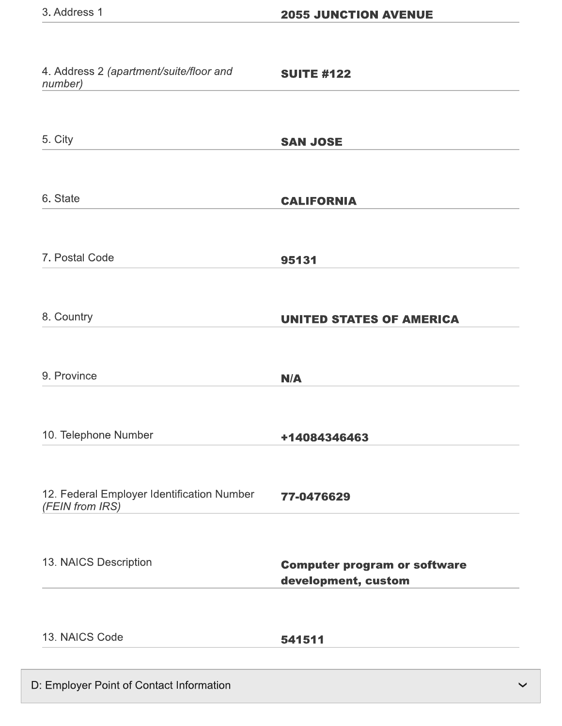| 5. City<br><b>SAN JOSE</b><br>6. State<br><b>CALIFORNIA</b><br>7. Postal Code<br>95131<br>8. Country<br><b>UNITED STATES OF AMERICA</b><br>9. Province<br>N/A<br>10. Telephone Number<br>+14084346463 | 4. Address 2 (apartment/suite/floor and<br>number) | <b>SUITE #122</b> |
|-------------------------------------------------------------------------------------------------------------------------------------------------------------------------------------------------------|----------------------------------------------------|-------------------|
|                                                                                                                                                                                                       |                                                    |                   |
|                                                                                                                                                                                                       |                                                    |                   |
|                                                                                                                                                                                                       |                                                    |                   |
|                                                                                                                                                                                                       |                                                    |                   |
|                                                                                                                                                                                                       |                                                    |                   |
|                                                                                                                                                                                                       |                                                    |                   |
| 12. Federal Employer Identification Number<br>77-0476629<br>(FEIN from IRS)                                                                                                                           |                                                    |                   |
| 13. NAICS Description<br><b>Computer program or software</b><br>development, custom                                                                                                                   |                                                    |                   |
| 13. NAICS Code<br>541511                                                                                                                                                                              |                                                    |                   |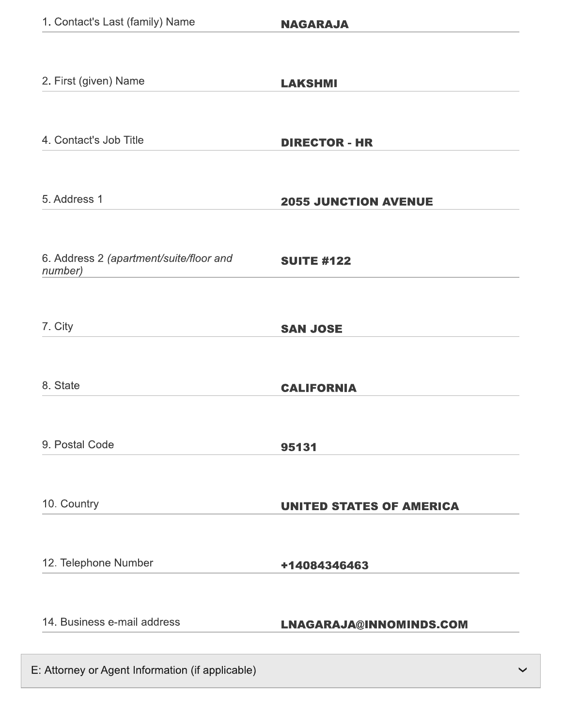| 1. Contact's Last (family) Name                    | <b>NAGARAJA</b>                 |
|----------------------------------------------------|---------------------------------|
|                                                    |                                 |
| 2. First (given) Name                              | <b>LAKSHMI</b>                  |
|                                                    |                                 |
| 4. Contact's Job Title                             | <b>DIRECTOR - HR</b>            |
|                                                    |                                 |
| 5. Address 1                                       | <b>2055 JUNCTION AVENUE</b>     |
|                                                    |                                 |
| 6. Address 2 (apartment/suite/floor and<br>number) | <b>SUITE #122</b>               |
|                                                    |                                 |
| 7. City                                            | <b>SAN JOSE</b>                 |
|                                                    |                                 |
| 8. State                                           | <b>CALIFORNIA</b>               |
|                                                    |                                 |
| 9. Postal Code                                     | 95131                           |
|                                                    |                                 |
| 10. Country                                        | <b>UNITED STATES OF AMERICA</b> |
|                                                    |                                 |
| 12. Telephone Number                               | +14084346463                    |
|                                                    |                                 |
| 14. Business e-mail address                        | LNAGARAJA@INNOMINDS.COM         |
|                                                    |                                 |
| E: Attorney or Agent Information (if applicable)   |                                 |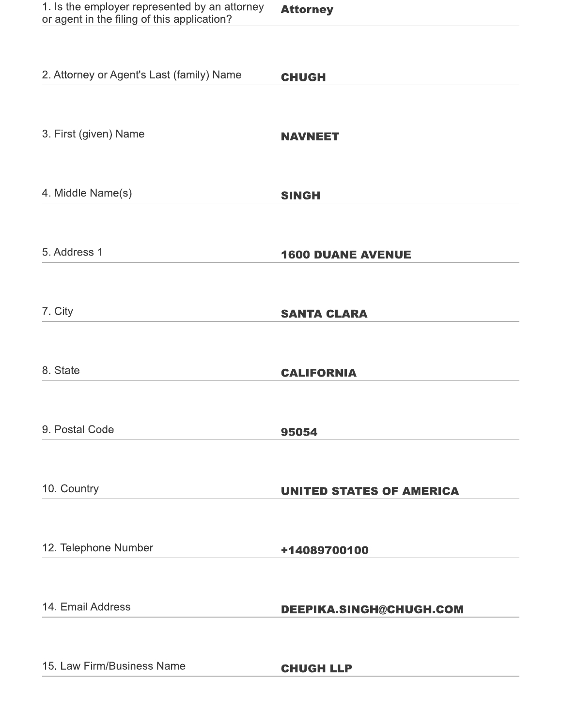| 1. Is the employer represented by an attorney | <b>Attorney</b> |
|-----------------------------------------------|-----------------|
| or agent in the filing of this application?   |                 |

| 2. Attorney or Agent's Last (family) Name | <b>CHUGH</b>                    |
|-------------------------------------------|---------------------------------|
|                                           |                                 |
| 3. First (given) Name                     | <b>NAVNEET</b>                  |
|                                           |                                 |
| 4. Middle Name(s)                         | <b>SINGH</b>                    |
|                                           |                                 |
| 5. Address 1                              | <b>1600 DUANE AVENUE</b>        |
|                                           |                                 |
| 7. City                                   | <b>SANTA CLARA</b>              |
|                                           |                                 |
| 8. State                                  | <b>CALIFORNIA</b>               |
|                                           |                                 |
| 9. Postal Code                            | 95054                           |
|                                           |                                 |
| 10. Country                               | <b>UNITED STATES OF AMERICA</b> |
|                                           |                                 |
| 12. Telephone Number                      | +14089700100                    |
|                                           |                                 |
| 14. Email Address                         | DEEPIKA.SINGH@CHUGH.COM         |
|                                           |                                 |
| 15. Law Firm/Business Name                | <b>CHUGH LLP</b>                |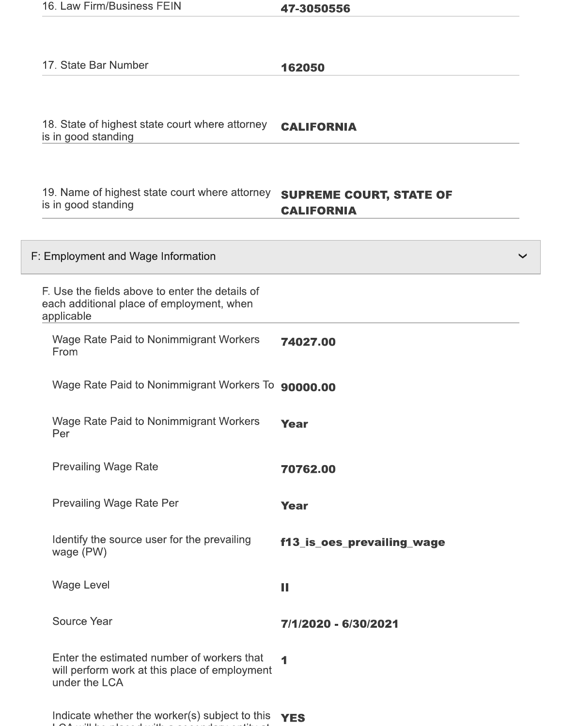| 16. Law Firm/Business FEIN |  |
|----------------------------|--|
|----------------------------|--|

 $\sim$  100  $\pm$ 

**140** 

47-3050556

| 17. State Bar Number                                                                                         | 162050                                              |
|--------------------------------------------------------------------------------------------------------------|-----------------------------------------------------|
|                                                                                                              |                                                     |
| 18. State of highest state court where attorney<br>is in good standing                                       | <b>CALIFORNIA</b>                                   |
|                                                                                                              |                                                     |
| 19. Name of highest state court where attorney<br>is in good standing                                        | <b>SUPREME COURT, STATE OF</b><br><b>CALIFORNIA</b> |
| F: Employment and Wage Information                                                                           | $\checkmark$                                        |
| F. Use the fields above to enter the details of<br>each additional place of employment, when<br>applicable   |                                                     |
| Wage Rate Paid to Nonimmigrant Workers<br>From                                                               | 74027.00                                            |
| Wage Rate Paid to Nonimmigrant Workers To                                                                    | 90000.00                                            |
| <b>Wage Rate Paid to Nonimmigrant Workers</b><br>Per                                                         | Year                                                |
| <b>Prevailing Wage Rate</b>                                                                                  | 70762.00                                            |
| Prevailing Wage Rate Per                                                                                     | <b>Year</b>                                         |
| Identify the source user for the prevailing<br>wage (PW)                                                     | f13_is_oes_prevailing_wage                          |
| <b>Wage Level</b>                                                                                            | Ш                                                   |
| <b>Source Year</b>                                                                                           | 7/1/2020 - 6/30/2021                                |
| Enter the estimated number of workers that<br>will perform work at this place of employment<br>under the LCA | 4                                                   |
| Indicate whether the worker(s) subject to this $YES$                                                         |                                                     |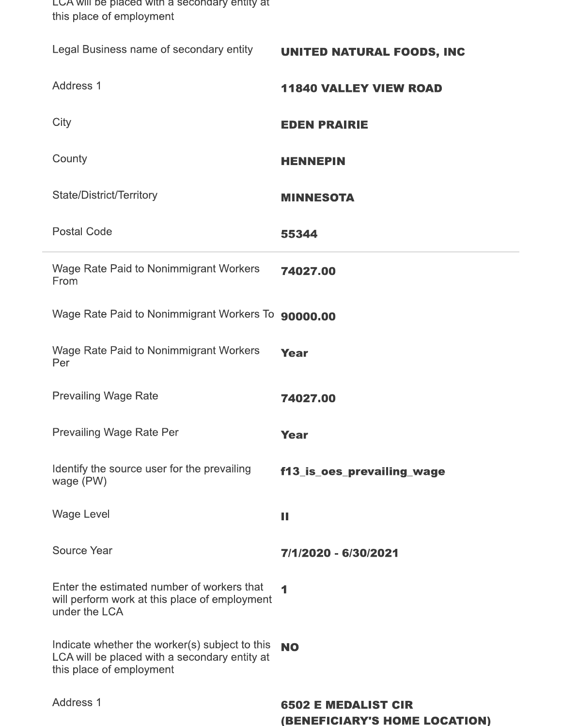| LCA will be placed with a secondary entity at<br>this place of employment                                                   |                                                             |
|-----------------------------------------------------------------------------------------------------------------------------|-------------------------------------------------------------|
| Legal Business name of secondary entity                                                                                     | <b>UNITED NATURAL FOODS, INC</b>                            |
| Address 1                                                                                                                   | <b>11840 VALLEY VIEW ROAD</b>                               |
| City                                                                                                                        | <b>EDEN PRAIRIE</b>                                         |
| County                                                                                                                      | <b>HENNEPIN</b>                                             |
| State/District/Territory                                                                                                    | <b>MINNESOTA</b>                                            |
| <b>Postal Code</b>                                                                                                          | 55344                                                       |
| <b>Wage Rate Paid to Nonimmigrant Workers</b><br>From                                                                       | 74027.00                                                    |
| Wage Rate Paid to Nonimmigrant Workers To 90000.00                                                                          |                                                             |
| <b>Wage Rate Paid to Nonimmigrant Workers</b><br>Per                                                                        | <b>Year</b>                                                 |
| <b>Prevailing Wage Rate</b>                                                                                                 | 74027.00                                                    |
| <b>Prevailing Wage Rate Per</b>                                                                                             | <b>Year</b>                                                 |
| Identify the source user for the prevailing<br>wage (PW)                                                                    | f13_is_oes_prevailing_wage                                  |
| <b>Wage Level</b>                                                                                                           | Ш                                                           |
| <b>Source Year</b>                                                                                                          | 7/1/2020 - 6/30/2021                                        |
| Enter the estimated number of workers that<br>will perform work at this place of employment<br>under the LCA                | 4                                                           |
| Indicate whether the worker(s) subject to this<br>LCA will be placed with a secondary entity at<br>this place of employment | <b>NO</b>                                                   |
| Address 1                                                                                                                   | <b>6502 E MEDALIST CIR</b><br>(BENEFICIARY'S HOME LOCATION) |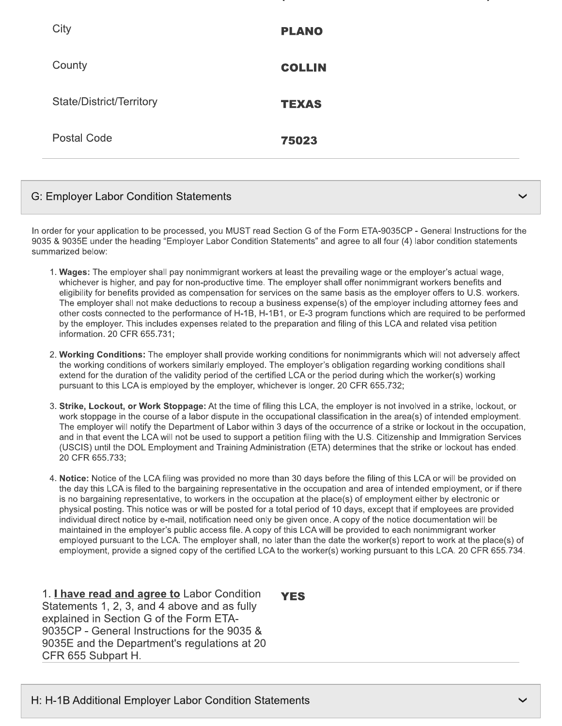| City                     | <b>PLANO</b>  |
|--------------------------|---------------|
| County                   | <b>COLLIN</b> |
| State/District/Territory | <b>TEXAS</b>  |
| Postal Code              | 75023         |

### **G: Employer Labor Condition Statements**

In order for your application to be processed, you MUST read Section G of the Form ETA-9035CP - General Instructions for the 9035 & 9035E under the heading "Employer Labor Condition Statements" and agree to all four (4) labor condition statements summarized below:

- 1. Wages: The employer shall pay nonimmigrant workers at least the prevailing wage or the employer's actual wage, whichever is higher, and pay for non-productive time. The employer shall offer nonimmigrant workers benefits and eligibility for benefits provided as compensation for services on the same basis as the employer offers to U.S. workers. The employer shall not make deductions to recoup a business expense(s) of the employer including attorney fees and other costs connected to the performance of H-1B, H-1B1, or E-3 program functions which are required to be performed by the employer. This includes expenses related to the preparation and filing of this LCA and related visa petition information. 20 CFR 655.731;
- 2. Working Conditions: The employer shall provide working conditions for nonimmigrants which will not adversely affect the working conditions of workers similarly employed. The employer's obligation regarding working conditions shall extend for the duration of the validity period of the certified LCA or the period during which the worker(s) working pursuant to this LCA is employed by the employer, whichever is longer. 20 CFR 655.732;
- 3. Strike, Lockout, or Work Stoppage: At the time of filing this LCA, the employer is not involved in a strike, lockout, or work stoppage in the course of a labor dispute in the occupational classification in the area(s) of intended employment. The employer will notify the Department of Labor within 3 days of the occurrence of a strike or lockout in the occupation, and in that event the LCA will not be used to support a petition filing with the U.S. Citizenship and Immigration Services (USCIS) until the DOL Employment and Training Administration (ETA) determines that the strike or lockout has ended. 20 CFR 655.733:
- 4. Notice: Notice of the LCA filing was provided no more than 30 days before the filing of this LCA or will be provided on the day this LCA is filed to the bargaining representative in the occupation and area of intended employment, or if there is no bargaining representative, to workers in the occupation at the place(s) of employment either by electronic or physical posting. This notice was or will be posted for a total period of 10 days, except that if employees are provided individual direct notice by e-mail, notification need only be given once. A copy of the notice documentation will be maintained in the employer's public access file. A copy of this LCA will be provided to each nonimmigrant worker employed pursuant to the LCA. The employer shall, no later than the date the worker(s) report to work at the place(s) of employment, provide a signed copy of the certified LCA to the worker(s) working pursuant to this LCA. 20 CFR 655.734.

1. *I have read and agree to Labor Condition* Statements 1, 2, 3, and 4 above and as fully explained in Section G of the Form ETA-9035CP - General Instructions for the 9035 & 9035E and the Department's regulations at 20 CFR 655 Subpart H.

**YES**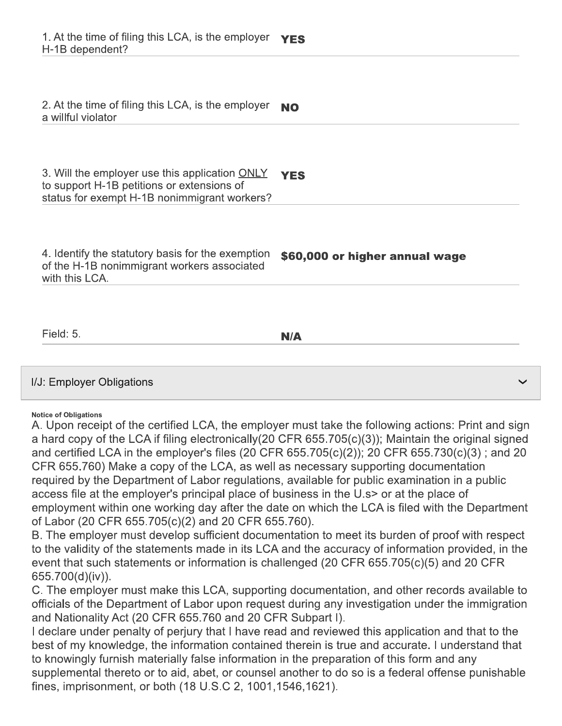| 2. At the time of filing this LCA, is the employer<br>a willful violator                                                                                      | <b>NO</b>                      |
|---------------------------------------------------------------------------------------------------------------------------------------------------------------|--------------------------------|
|                                                                                                                                                               |                                |
| 3. Will the employer use this application $\overline{ONLY}$ YES<br>to support H-1B petitions or extensions of<br>status for exempt H-1B nonimmigrant workers? |                                |
|                                                                                                                                                               |                                |
| 4. Identify the statutory basis for the exemption<br>of the H-1B nonimmigrant workers associated<br>with this LCA.                                            | \$60,000 or higher annual wage |
|                                                                                                                                                               |                                |
| Field: 5.                                                                                                                                                     | N/A                            |
|                                                                                                                                                               |                                |
|                                                                                                                                                               |                                |

#### **Notice of Obligations**

A. Upon receipt of the certified LCA, the employer must take the following actions: Print and sign a hard copy of the LCA if filing electronically (20 CFR 655.705(c)(3)); Maintain the original signed and certified LCA in the employer's files (20 CFR 655.705(c)(2)); 20 CFR 655.730(c)(3); and 20 CFR 655.760) Make a copy of the LCA, as well as necessary supporting documentation required by the Department of Labor regulations, available for public examination in a public access file at the employer's principal place of business in the U.s> or at the place of employment within one working day after the date on which the LCA is filed with the Department of Labor (20 CFR 655.705(c)(2) and 20 CFR 655.760).

B. The employer must develop sufficient documentation to meet its burden of proof with respect to the validity of the statements made in its LCA and the accuracy of information provided, in the event that such statements or information is challenged (20 CFR 655.705(c)(5) and 20 CFR 655.700(d)(iv)).

C. The employer must make this LCA, supporting documentation, and other records available to officials of the Department of Labor upon request during any investigation under the immigration and Nationality Act (20 CFR 655.760 and 20 CFR Subpart I).

I declare under penalty of perjury that I have read and reviewed this application and that to the best of my knowledge, the information contained therein is true and accurate. I understand that to knowingly furnish materially false information in the preparation of this form and any supplemental thereto or to aid, abet, or counsel another to do so is a federal offense punishable fines, imprisonment, or both (18 U.S.C 2, 1001, 1546, 1621).